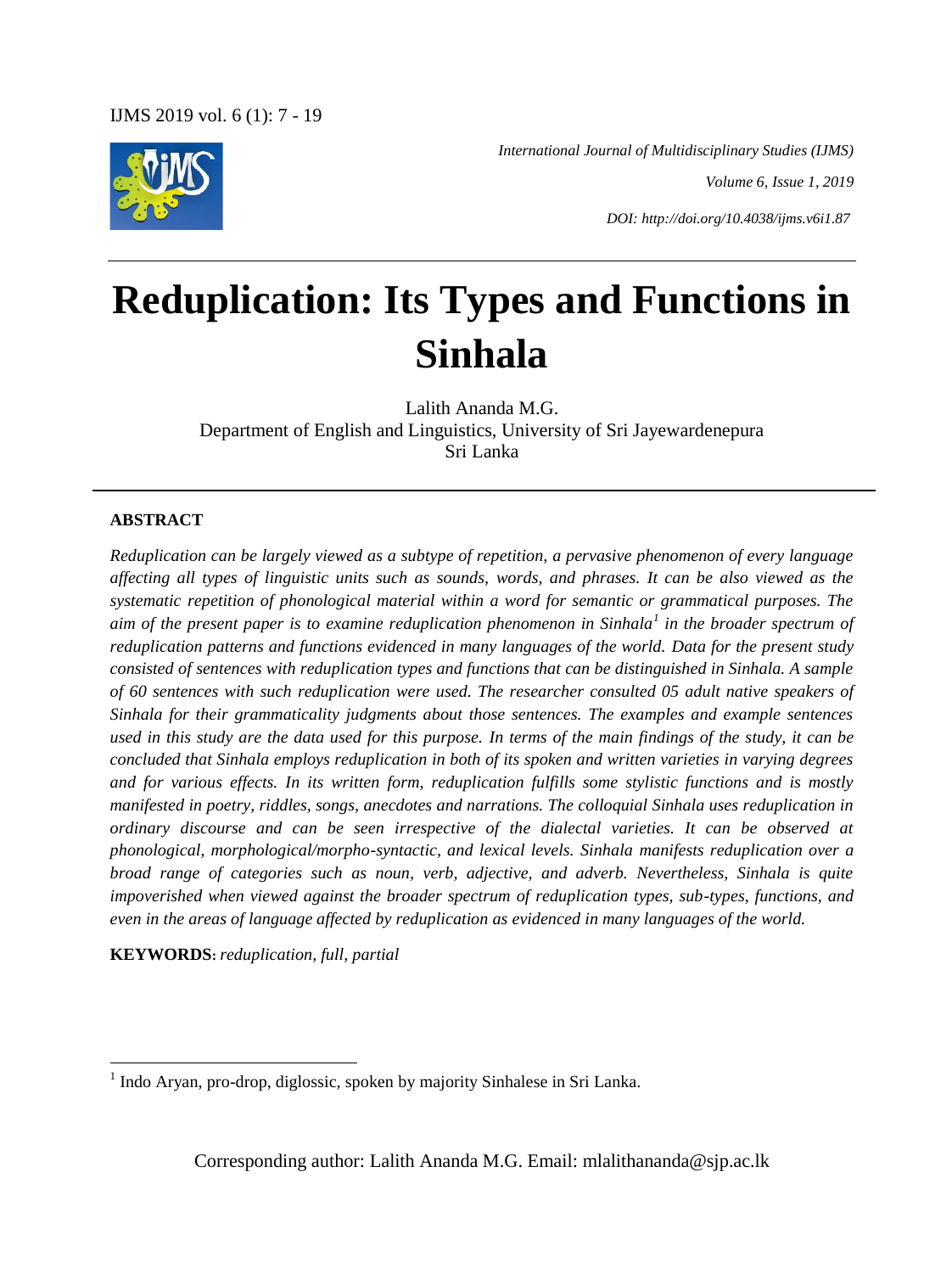

*International Journal of Multidisciplinary Studies (IJMS)*

*Volume 6, Issue 1, 2019*

*DOI: http://doi.org/10.4038/ijms.v6i1.87*

# **Reduplication: Its Types and Functions in Sinhala**

Lalith Ananda M.G. Department of English and Linguistics, University of Sri Jayewardenepura Sri Lanka

#### **ABSTRACT**

**.** 

*Reduplication can be largely viewed as a subtype of repetition, a pervasive phenomenon of every language affecting all types of linguistic units such as sounds, words, and phrases. It can be also viewed as the systematic repetition of phonological material within a word for semantic or grammatical purposes. The aim of the present paper is to examine reduplication phenomenon in Sinhala<sup>1</sup> in the broader spectrum of reduplication patterns and functions evidenced in many languages of the world. Data for the present study consisted of sentences with reduplication types and functions that can be distinguished in Sinhala. A sample of 60 sentences with such reduplication were used. The researcher consulted 05 adult native speakers of Sinhala for their grammaticality judgments about those sentences. The examples and example sentences used in this study are the data used for this purpose. In terms of the main findings of the study, it can be concluded that Sinhala employs reduplication in both of its spoken and written varieties in varying degrees and for various effects. In its written form, reduplication fulfills some stylistic functions and is mostly manifested in poetry, riddles, songs, anecdotes and narrations. The colloquial Sinhala uses reduplication in ordinary discourse and can be seen irrespective of the dialectal varieties. It can be observed at phonological, morphological/morpho-syntactic, and lexical levels. Sinhala manifests reduplication over a broad range of categories such as noun, verb, adjective, and adverb. Nevertheless, Sinhala is quite impoverished when viewed against the broader spectrum of reduplication types, sub-types, functions, and even in the areas of language affected by reduplication as evidenced in many languages of the world.* 

**KEYWORDS:** *reduplication, full, partial*

Corresponding author: Lalith Ananda M.G. Email: mlalithananda@sjp.ac.lk

<sup>&</sup>lt;sup>1</sup> Indo Aryan, pro-drop, diglossic, spoken by majority Sinhalese in Sri Lanka.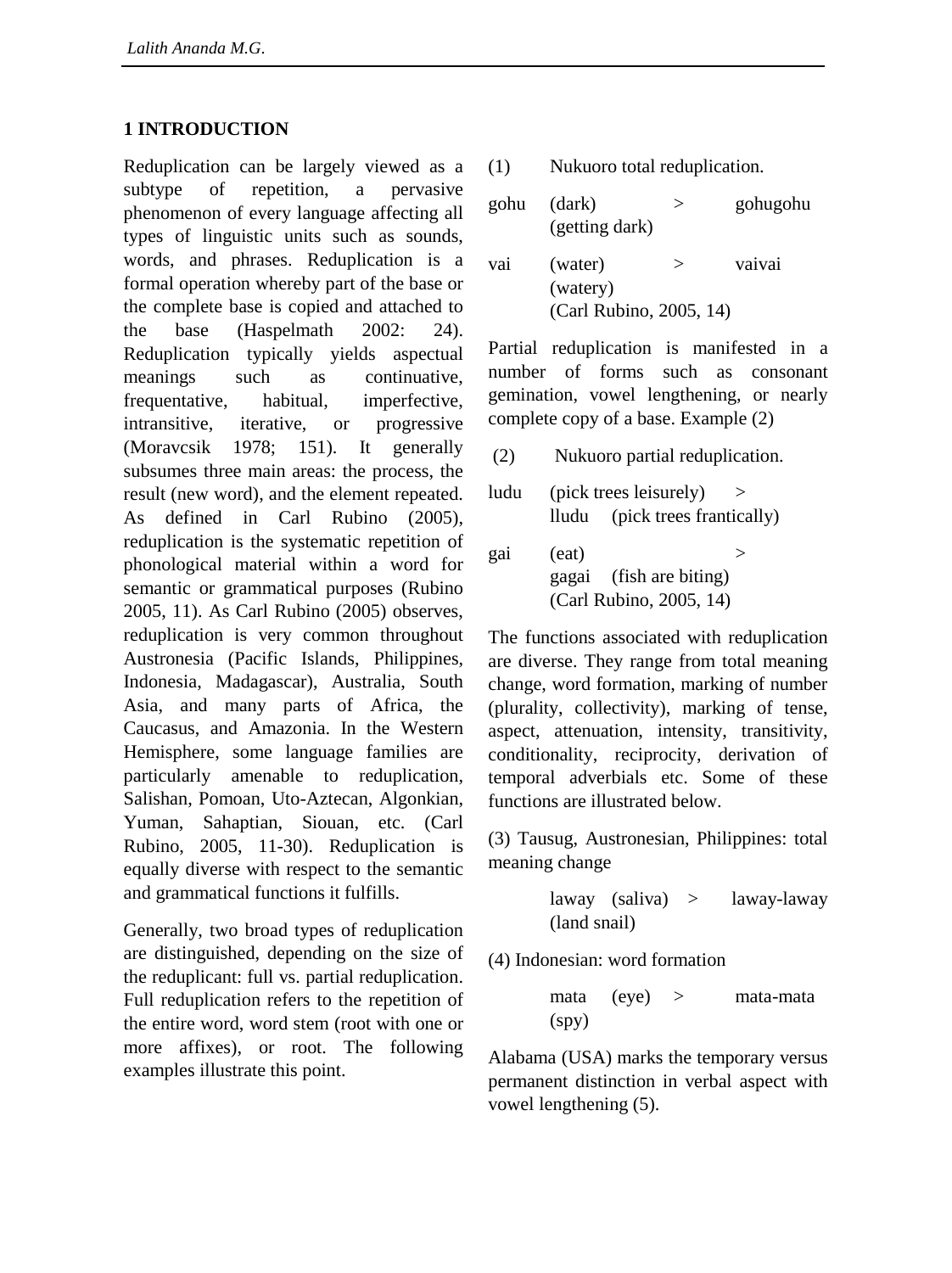#### **1 INTRODUCTION**

Reduplication can be largely viewed as a subtype of repetition, a pervasive phenomenon of every language affecting all types of linguistic units such as sounds, words, and phrases. Reduplication is a formal operation whereby part of the base or the complete base is copied and attached to the base (Haspelmath 2002: 24). Reduplication typically yields aspectual meanings such as continuative, frequentative, habitual, imperfective, intransitive, iterative, or progressive (Moravcsik 1978; 151). It generally subsumes three main areas: the process, the result (new word), and the element repeated. As defined in Carl Rubino (2005), reduplication is the systematic repetition of phonological material within a word for semantic or grammatical purposes (Rubino 2005, 11). As Carl Rubino (2005) observes, reduplication is very common throughout Austronesia (Pacific Islands, Philippines, Indonesia, Madagascar), Australia, South Asia, and many parts of Africa, the Caucasus, and Amazonia. In the Western Hemisphere, some language families are particularly amenable to reduplication, Salishan, Pomoan, Uto-Aztecan, Algonkian, Yuman, Sahaptian, Siouan, etc. (Carl Rubino, 2005, 11-30). Reduplication is equally diverse with respect to the semantic and grammatical functions it fulfills.

Generally, two broad types of reduplication are distinguished, depending on the size of the reduplicant: full vs. partial reduplication. Full reduplication refers to the repetition of the entire word, word stem (root with one or more affixes), or root. The following examples illustrate this point.

(1) Nukuoro total reduplication.

| gohu | (dark)<br>(getting dark) | $\rm{>}$ | gohugohu |  |
|------|--------------------------|----------|----------|--|
| vai  | (water)<br>(watery)      | $\rm{>}$ | vaivai   |  |
|      | (Carl Rubino, 2005, 14)  |          |          |  |

Partial reduplication is manifested in a number of forms such as consonant gemination, vowel lengthening, or nearly complete copy of a base. Example (2)

(2) Nukuoro partial reduplication.

ludu (pick trees leisurely)  $>$ lludu (pick trees frantically)

gai  $(eat)$  > gagai (fish are biting) (Carl Rubino, 2005, 14)

The functions associated with reduplication are diverse. They range from total meaning change, word formation, marking of number (plurality, collectivity), marking of tense, aspect, attenuation, intensity, transitivity, conditionality, reciprocity, derivation of temporal adverbials etc. Some of these functions are illustrated below.

(3) Tausug, Austronesian, Philippines: total meaning change

> laway (saliva) > laway-laway (land snail)

(4) Indonesian: word formation

mata (eye) > mata-mata (spy)

Alabama (USA) marks the temporary versus permanent distinction in verbal aspect with vowel lengthening (5).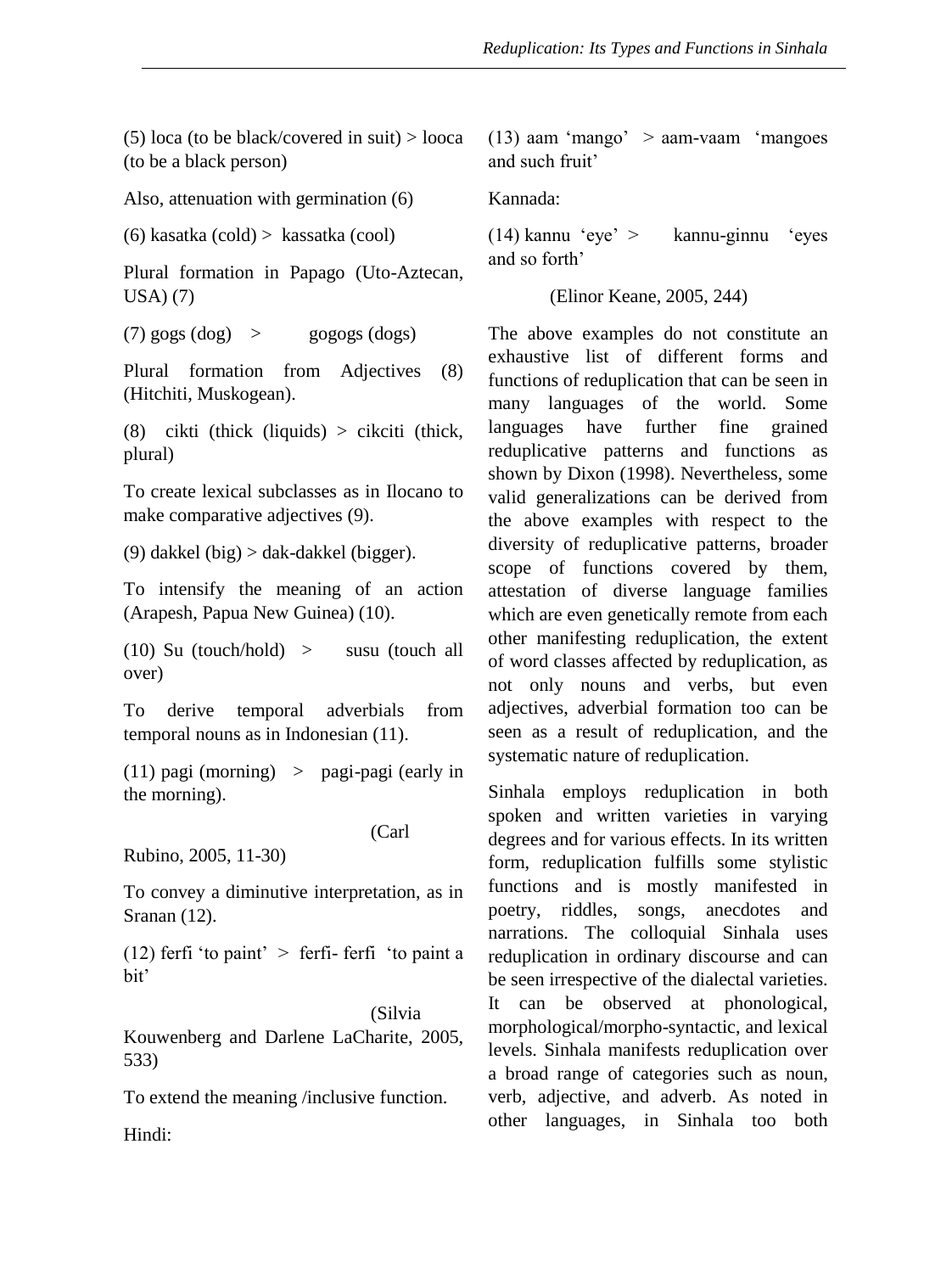(5) loca (to be black/covered in suit)  $>$  looca (to be a black person)

Also, attenuation with germination (6)

(6) kasatka (cold) > kassatka (cool)

Plural formation in Papago (Uto-Aztecan, USA) (7)

(7)  $gogs$  (dog)  $>$  gogogs (dogs)

Plural formation from Adjectives (8) (Hitchiti, Muskogean).

(8) cikti (thick (liquids) > cikciti (thick, plural)

To create lexical subclasses as in Ilocano to make comparative adjectives (9).

(9) dakkel (big) > dak-dakkel (bigger).

To intensify the meaning of an action (Arapesh, Papua New Guinea) (10).

 $(10)$  Su (touch/hold) > susu (touch all over)

To derive temporal adverbials from temporal nouns as in Indonesian (11).

(11) pagi (morning) > pagi-pagi (early in the morning).

(Carl

Rubino, 2005, 11-30)

To convey a diminutive interpretation, as in Sranan (12).

(12) ferfi 'to paint'  $>$  ferfi- ferfi 'to paint a bit'

(Silvia Kouwenberg and Darlene LaCharite, 2005, 533)

To extend the meaning /inclusive function.

 $(13)$  aam 'mango' > aam-vaam 'mangoes and such fruit'

Kannada:

(14) kannu 'eye' > kannu-ginnu 'eyes and so forth'

(Elinor Keane, 2005, 244)

The above examples do not constitute an exhaustive list of different forms and functions of reduplication that can be seen in many languages of the world. Some languages have further fine grained reduplicative patterns and functions as shown by Dixon (1998). Nevertheless, some valid generalizations can be derived from the above examples with respect to the diversity of reduplicative patterns, broader scope of functions covered by them, attestation of diverse language families which are even genetically remote from each other manifesting reduplication, the extent of word classes affected by reduplication, as not only nouns and verbs, but even adjectives, adverbial formation too can be seen as a result of reduplication, and the systematic nature of reduplication.

Sinhala employs reduplication in both spoken and written varieties in varying degrees and for various effects. In its written form, reduplication fulfills some stylistic functions and is mostly manifested in poetry, riddles, songs, anecdotes and narrations. The colloquial Sinhala uses reduplication in ordinary discourse and can be seen irrespective of the dialectal varieties. It can be observed at phonological, morphological/morpho-syntactic, and lexical levels. Sinhala manifests reduplication over a broad range of categories such as noun, verb, adjective, and adverb. As noted in other languages, in Sinhala too both

Hindi: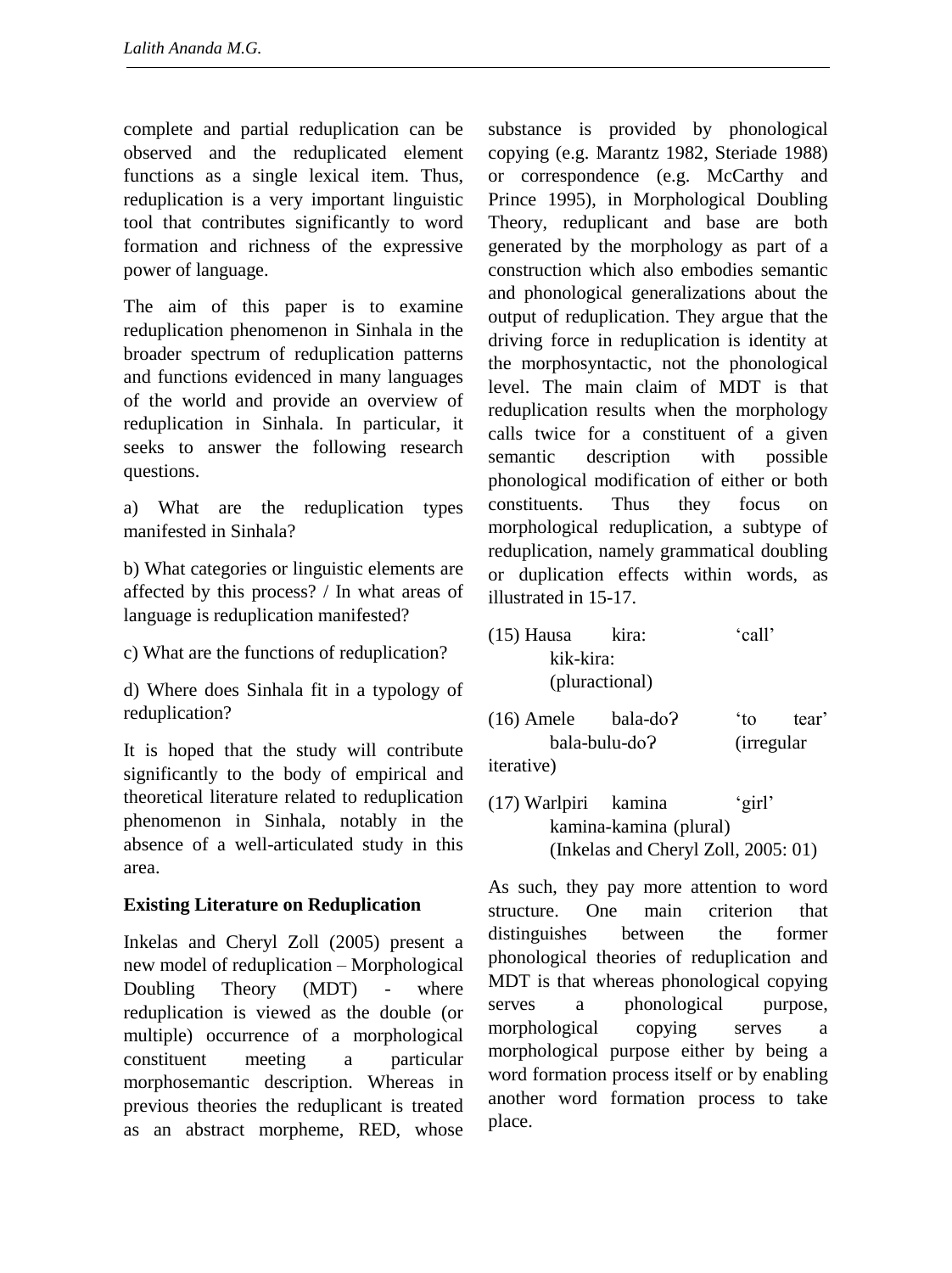complete and partial reduplication can be observed and the reduplicated element functions as a single lexical item. Thus, reduplication is a very important linguistic tool that contributes significantly to word formation and richness of the expressive power of language.

The aim of this paper is to examine reduplication phenomenon in Sinhala in the broader spectrum of reduplication patterns and functions evidenced in many languages of the world and provide an overview of reduplication in Sinhala. In particular, it seeks to answer the following research questions.

a) What are the reduplication types manifested in Sinhala?

b) What categories or linguistic elements are affected by this process? / In what areas of language is reduplication manifested?

c) What are the functions of reduplication?

d) Where does Sinhala fit in a typology of reduplication?

It is hoped that the study will contribute significantly to the body of empirical and theoretical literature related to reduplication phenomenon in Sinhala, notably in the absence of a well-articulated study in this area.

# **Existing Literature on Reduplication**

Inkelas and Cheryl Zoll (2005) present a new model of reduplication – Morphological Doubling Theory (MDT) - where reduplication is viewed as the double (or multiple) occurrence of a morphological constituent meeting a particular morphosemantic description. Whereas in previous theories the reduplicant is treated as an abstract morpheme, RED, whose

substance is provided by phonological copying (e.g. Marantz 1982, Steriade 1988) or correspondence (e.g. McCarthy and Prince 1995), in Morphological Doubling Theory, reduplicant and base are both generated by the morphology as part of a construction which also embodies semantic and phonological generalizations about the output of reduplication. They argue that the driving force in reduplication is identity at the morphosyntactic, not the phonological level. The main claim of MDT is that reduplication results when the morphology calls twice for a constituent of a given semantic description with possible phonological modification of either or both constituents. Thus they focus on morphological reduplication, a subtype of reduplication, namely grammatical doubling or duplication effects within words, as illustrated in 15-17.

- (15) Hausa kira: 'call' kik-kira: (pluractional)
- $(16)$  Amele bala-do?  $\qquad$  to tear' bala-bulu-doɁ (irregular iterative)
- (17) Warlpiri kamina 'girl' kamina-kamina (plural) (Inkelas and Cheryl Zoll, 2005: 01)

As such, they pay more attention to word structure. One main criterion that distinguishes between the former phonological theories of reduplication and MDT is that whereas phonological copying serves a phonological purpose, morphological copying serves a morphological purpose either by being a word formation process itself or by enabling another word formation process to take place.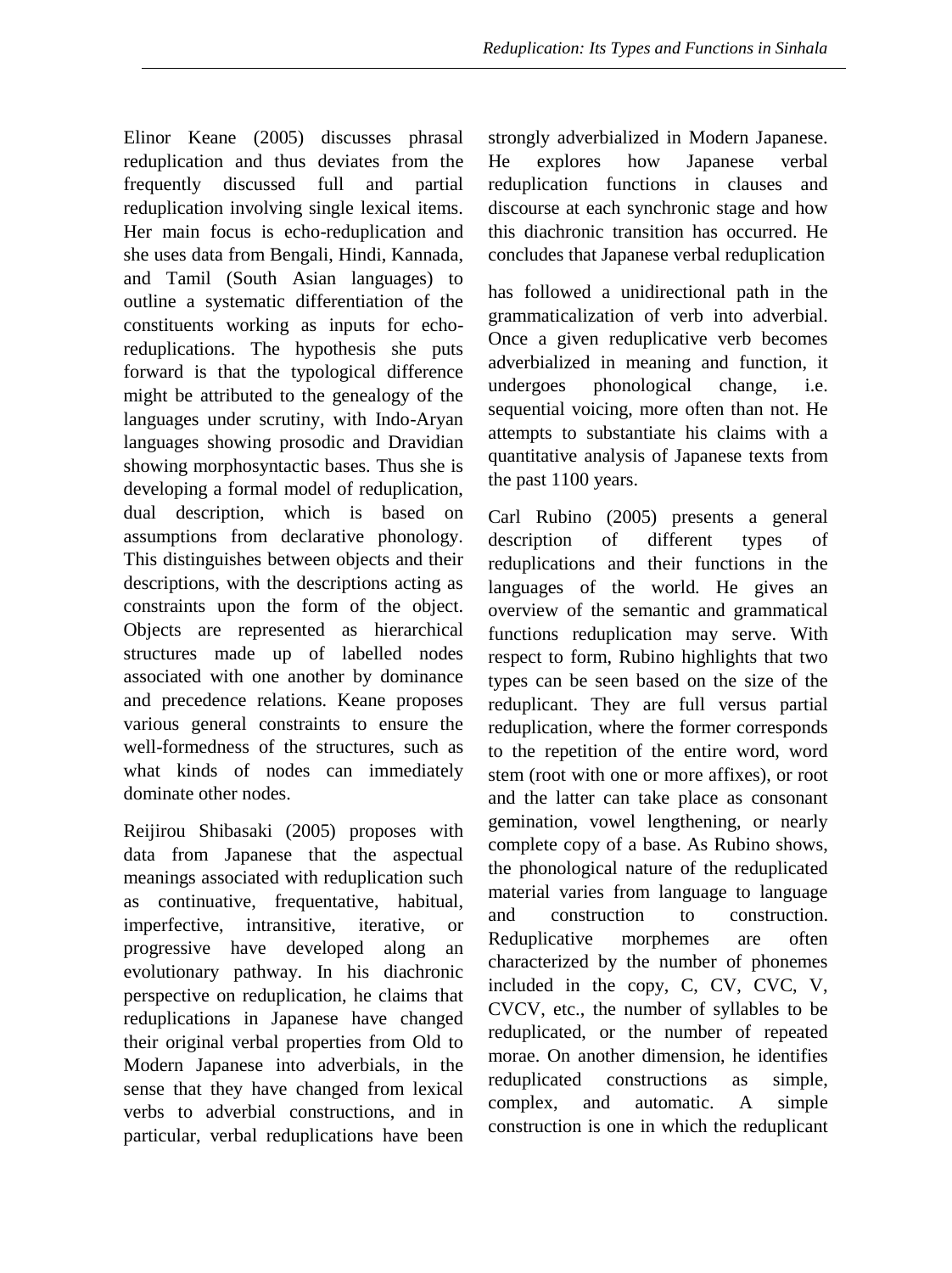Elinor Keane (2005) discusses phrasal reduplication and thus deviates from the frequently discussed full and partial reduplication involving single lexical items. Her main focus is echo-reduplication and she uses data from Bengali, Hindi, Kannada, and Tamil (South Asian languages) to outline a systematic differentiation of the constituents working as inputs for echoreduplications. The hypothesis she puts forward is that the typological difference might be attributed to the genealogy of the languages under scrutiny, with Indo-Aryan languages showing prosodic and Dravidian showing morphosyntactic bases. Thus she is developing a formal model of reduplication, dual description, which is based on assumptions from declarative phonology. This distinguishes between objects and their descriptions, with the descriptions acting as constraints upon the form of the object. Objects are represented as hierarchical structures made up of labelled nodes associated with one another by dominance and precedence relations. Keane proposes various general constraints to ensure the well-formedness of the structures, such as what kinds of nodes can immediately dominate other nodes.

Reijirou Shibasaki (2005) proposes with data from Japanese that the aspectual meanings associated with reduplication such as continuative, frequentative, habitual, imperfective, intransitive, iterative, or progressive have developed along an evolutionary pathway. In his diachronic perspective on reduplication, he claims that reduplications in Japanese have changed their original verbal properties from Old to Modern Japanese into adverbials, in the sense that they have changed from lexical verbs to adverbial constructions, and in particular, verbal reduplications have been strongly adverbialized in Modern Japanese. He explores how Japanese verbal reduplication functions in clauses and discourse at each synchronic stage and how this diachronic transition has occurred. He concludes that Japanese verbal reduplication

has followed a unidirectional path in the grammaticalization of verb into adverbial. Once a given reduplicative verb becomes adverbialized in meaning and function, it undergoes phonological change, i.e. sequential voicing, more often than not. He attempts to substantiate his claims with a quantitative analysis of Japanese texts from the past 1100 years.

Carl Rubino (2005) presents a general description of different types of reduplications and their functions in the languages of the world. He gives an overview of the semantic and grammatical functions reduplication may serve. With respect to form, Rubino highlights that two types can be seen based on the size of the reduplicant. They are full versus partial reduplication, where the former corresponds to the repetition of the entire word, word stem (root with one or more affixes), or root and the latter can take place as consonant gemination, vowel lengthening, or nearly complete copy of a base. As Rubino shows, the phonological nature of the reduplicated material varies from language to language and construction to construction. Reduplicative morphemes are often characterized by the number of phonemes included in the copy, C, CV, CVC, V, CVCV, etc., the number of syllables to be reduplicated, or the number of repeated morae. On another dimension, he identifies reduplicated constructions as simple, complex, and automatic. A simple construction is one in which the reduplicant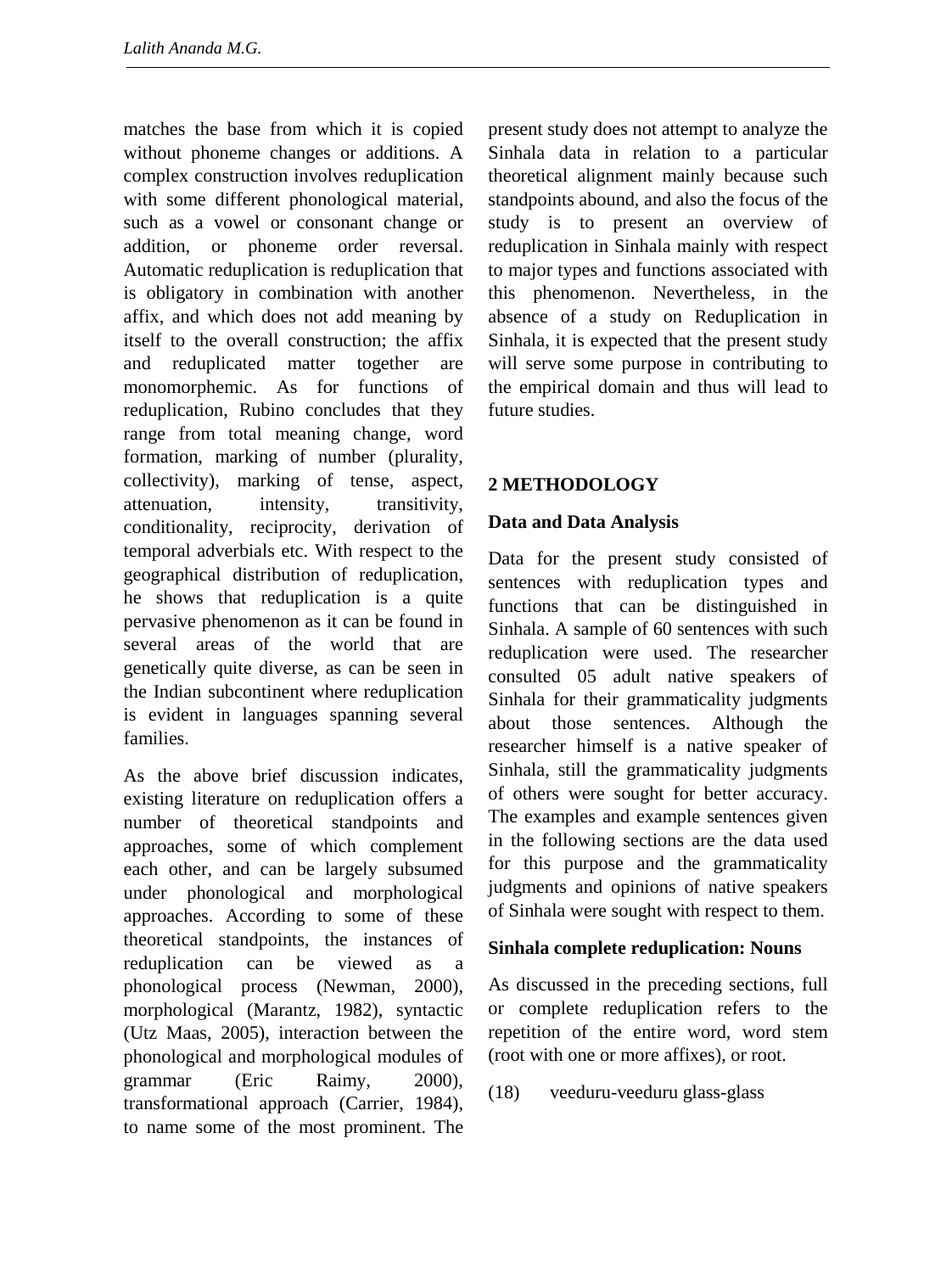matches the base from which it is copied without phoneme changes or additions. A complex construction involves reduplication with some different phonological material, such as a vowel or consonant change or addition, or phoneme order reversal. Automatic reduplication is reduplication that is obligatory in combination with another affix, and which does not add meaning by itself to the overall construction; the affix and reduplicated matter together are monomorphemic. As for functions of reduplication, Rubino concludes that they range from total meaning change, word formation, marking of number (plurality, collectivity), marking of tense, aspect, attenuation, intensity, transitivity, conditionality, reciprocity, derivation of temporal adverbials etc. With respect to the geographical distribution of reduplication, he shows that reduplication is a quite pervasive phenomenon as it can be found in several areas of the world that are genetically quite diverse, as can be seen in the Indian subcontinent where reduplication is evident in languages spanning several families.

As the above brief discussion indicates, existing literature on reduplication offers a number of theoretical standpoints and approaches, some of which complement each other, and can be largely subsumed under phonological and morphological approaches. According to some of these theoretical standpoints, the instances of reduplication can be viewed as a phonological process (Newman, 2000), morphological (Marantz, 1982), syntactic (Utz Maas, 2005), interaction between the phonological and morphological modules of grammar (Eric Raimy, 2000), transformational approach (Carrier, 1984), to name some of the most prominent. The present study does not attempt to analyze the Sinhala data in relation to a particular theoretical alignment mainly because such standpoints abound, and also the focus of the study is to present an overview of reduplication in Sinhala mainly with respect to major types and functions associated with this phenomenon. Nevertheless, in the absence of a study on Reduplication in Sinhala, it is expected that the present study will serve some purpose in contributing to the empirical domain and thus will lead to future studies.

# **2 METHODOLOGY**

# **Data and Data Analysis**

Data for the present study consisted of sentences with reduplication types and functions that can be distinguished in Sinhala. A sample of 60 sentences with such reduplication were used. The researcher consulted 05 adult native speakers of Sinhala for their grammaticality judgments about those sentences. Although the researcher himself is a native speaker of Sinhala, still the grammaticality judgments of others were sought for better accuracy. The examples and example sentences given in the following sections are the data used for this purpose and the grammaticality judgments and opinions of native speakers of Sinhala were sought with respect to them.

# **Sinhala complete reduplication: Nouns**

As discussed in the preceding sections, full or complete reduplication refers to the repetition of the entire word, word stem (root with one or more affixes), or root.

(18) veeduru-veeduru glass-glass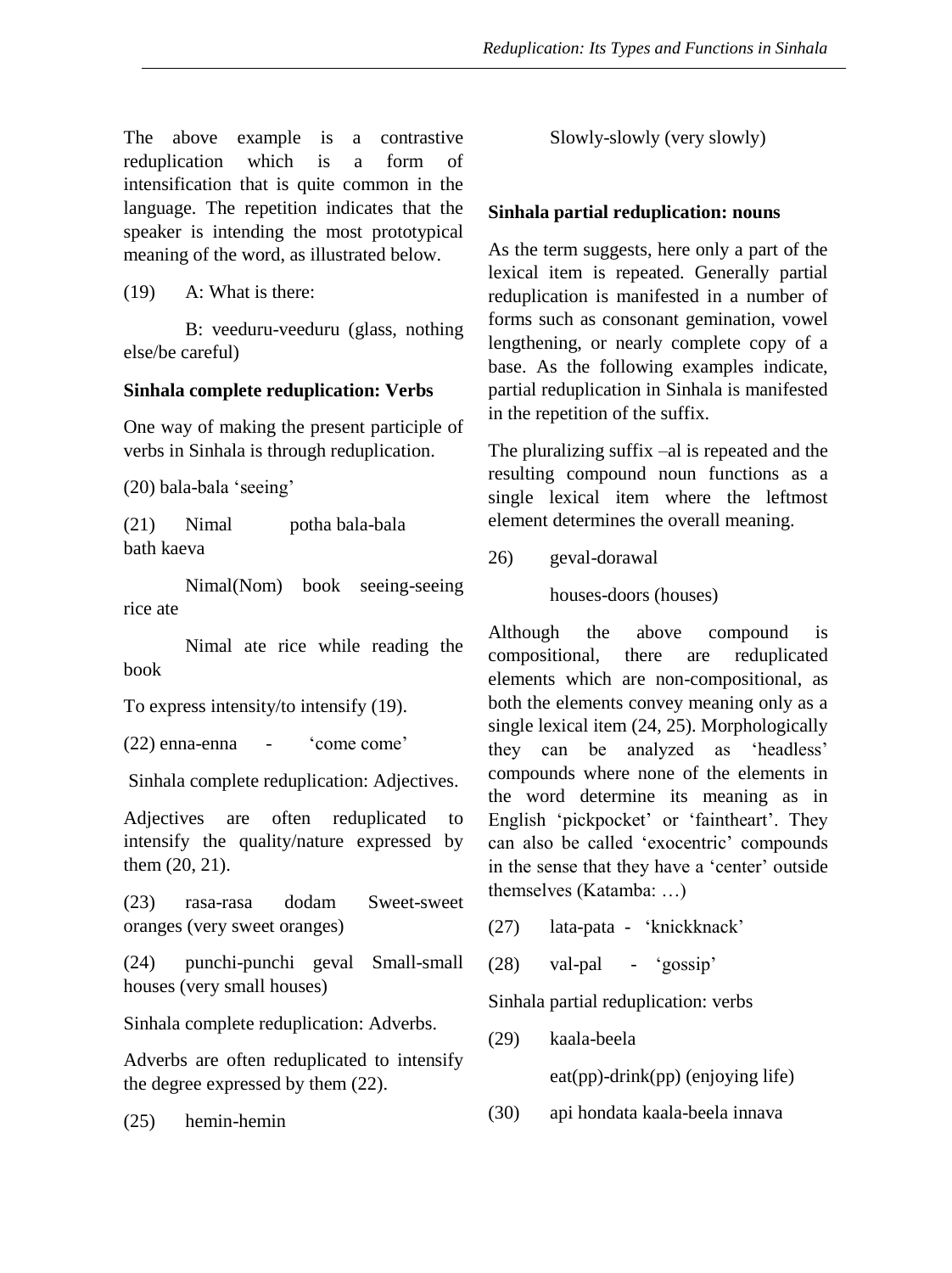The above example is a contrastive reduplication which is a form of intensification that is quite common in the language. The repetition indicates that the speaker is intending the most prototypical meaning of the word, as illustrated below.

(19) A: What is there:

B: veeduru-veeduru (glass, nothing else/be careful)

#### **Sinhala complete reduplication: Verbs**

One way of making the present participle of verbs in Sinhala is through reduplication.

(20) bala-bala 'seeing'

(21) Nimal potha bala-bala bath kaeva

Nimal(Nom) book seeing-seeing rice ate

Nimal ate rice while reading the book

To express intensity/to intensify (19).

(22) enna-enna - 'come come'

Sinhala complete reduplication: Adjectives.

Adjectives are often reduplicated to intensify the quality/nature expressed by them (20, 21).

(23) rasa-rasa dodam Sweet-sweet oranges (very sweet oranges)

(24) punchi-punchi geval Small-small houses (very small houses)

Sinhala complete reduplication: Adverbs.

Adverbs are often reduplicated to intensify the degree expressed by them (22).

(25) hemin-hemin

Slowly-slowly (very slowly)

# **Sinhala partial reduplication: nouns**

As the term suggests, here only a part of the lexical item is repeated. Generally partial reduplication is manifested in a number of forms such as consonant gemination, vowel lengthening, or nearly complete copy of a base. As the following examples indicate, partial reduplication in Sinhala is manifested in the repetition of the suffix.

The pluralizing suffix –al is repeated and the resulting compound noun functions as a single lexical item where the leftmost element determines the overall meaning.

26) geval-dorawal

houses-doors (houses)

Although the above compound is compositional, there are reduplicated elements which are non-compositional, as both the elements convey meaning only as a single lexical item (24, 25). Morphologically they can be analyzed as 'headless' compounds where none of the elements in the word determine its meaning as in English 'pickpocket' or 'faintheart'. They can also be called 'exocentric' compounds in the sense that they have a 'center' outside themselves (Katamba: …)

- (27) lata-pata 'knickknack'
- (28) val-pal 'gossip'

Sinhala partial reduplication: verbs

(29) kaala-beela

eat(pp)-drink(pp) (enjoying life)

(30) api hondata kaala-beela innava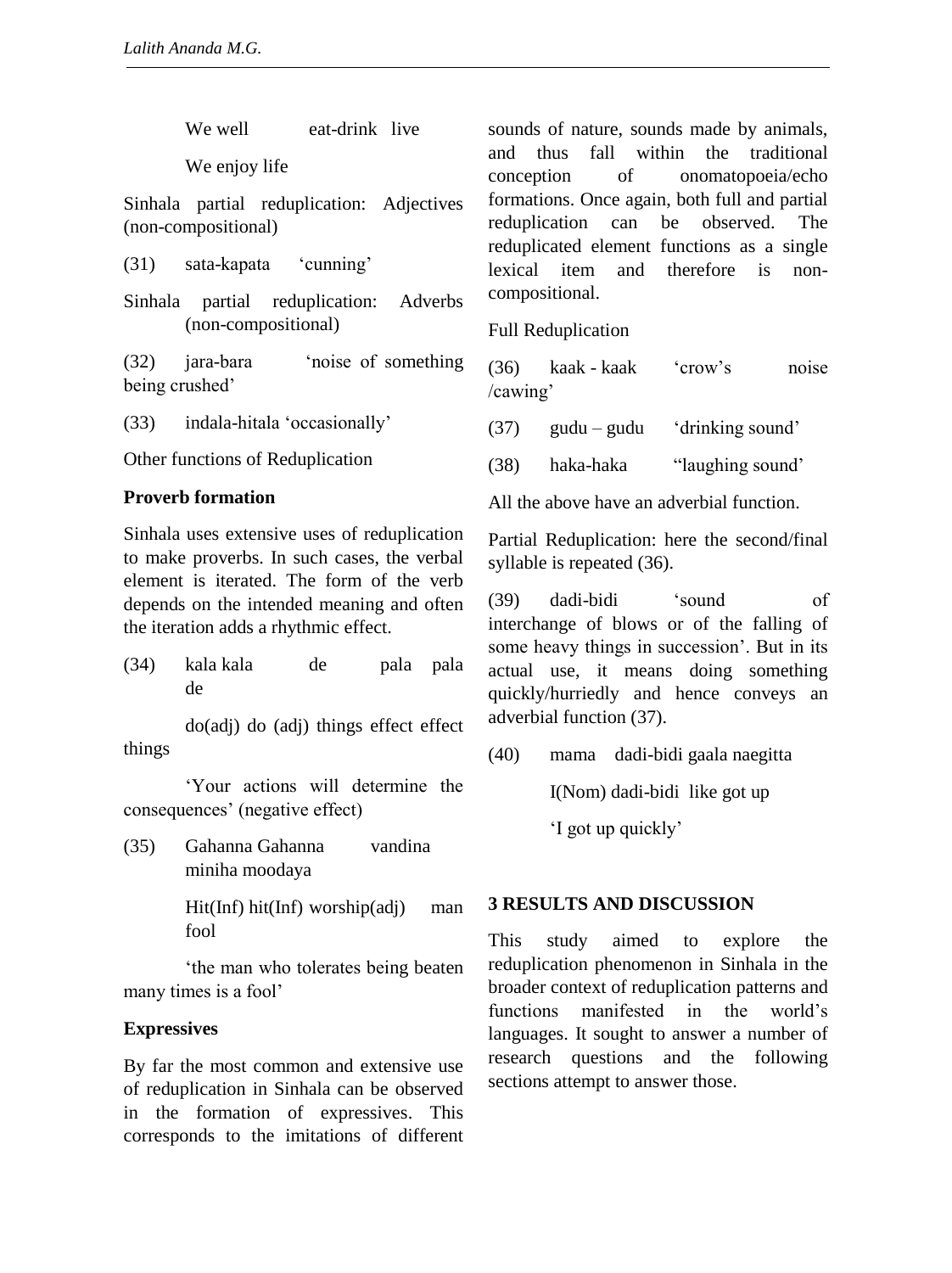We well eat-drink live

We enjoy life

Sinhala partial reduplication: Adjectives (non-compositional)

(31) sata-kapata 'cunning'

Sinhala partial reduplication: Adverbs (non-compositional)

(32) jara-bara 'noise of something being crushed'

(33) indala-hitala 'occasionally'

Other functions of Reduplication

#### **Proverb formation**

Sinhala uses extensive uses of reduplication to make proverbs. In such cases, the verbal element is iterated. The form of the verb depends on the intended meaning and often the iteration adds a rhythmic effect.

(34) kala kala de pala pala de

do(adj) do (adj) things effect effect things

'Your actions will determine the consequences' (negative effect)

(35) Gahanna Gahanna vandina miniha moodaya

> Hit(Inf) hit(Inf) worship(adj) man fool

'the man who tolerates being beaten many times is a fool'

#### **Expressives**

By far the most common and extensive use of reduplication in Sinhala can be observed in the formation of expressives. This corresponds to the imitations of different sounds of nature, sounds made by animals, and thus fall within the traditional conception of onomatopoeia/echo formations. Once again, both full and partial reduplication can be observed. The reduplicated element functions as a single lexical item and therefore is noncompositional.

Full Reduplication

(36) kaak - kaak 'crow's noise /cawing'

(37) gudu – gudu 'drinking sound'

(38) haka-haka "laughing sound'

All the above have an adverbial function.

Partial Reduplication: here the second/final syllable is repeated (36).

(39) dadi-bidi 'sound of interchange of blows or of the falling of some heavy things in succession'. But in its actual use, it means doing something quickly/hurriedly and hence conveys an adverbial function (37).

(40) mama dadi-bidi gaala naegitta

I(Nom) dadi-bidi like got up

'I got up quickly'

#### **3 RESULTS AND DISCUSSION**

This study aimed to explore the reduplication phenomenon in Sinhala in the broader context of reduplication patterns and functions manifested in the world's languages. It sought to answer a number of research questions and the following sections attempt to answer those.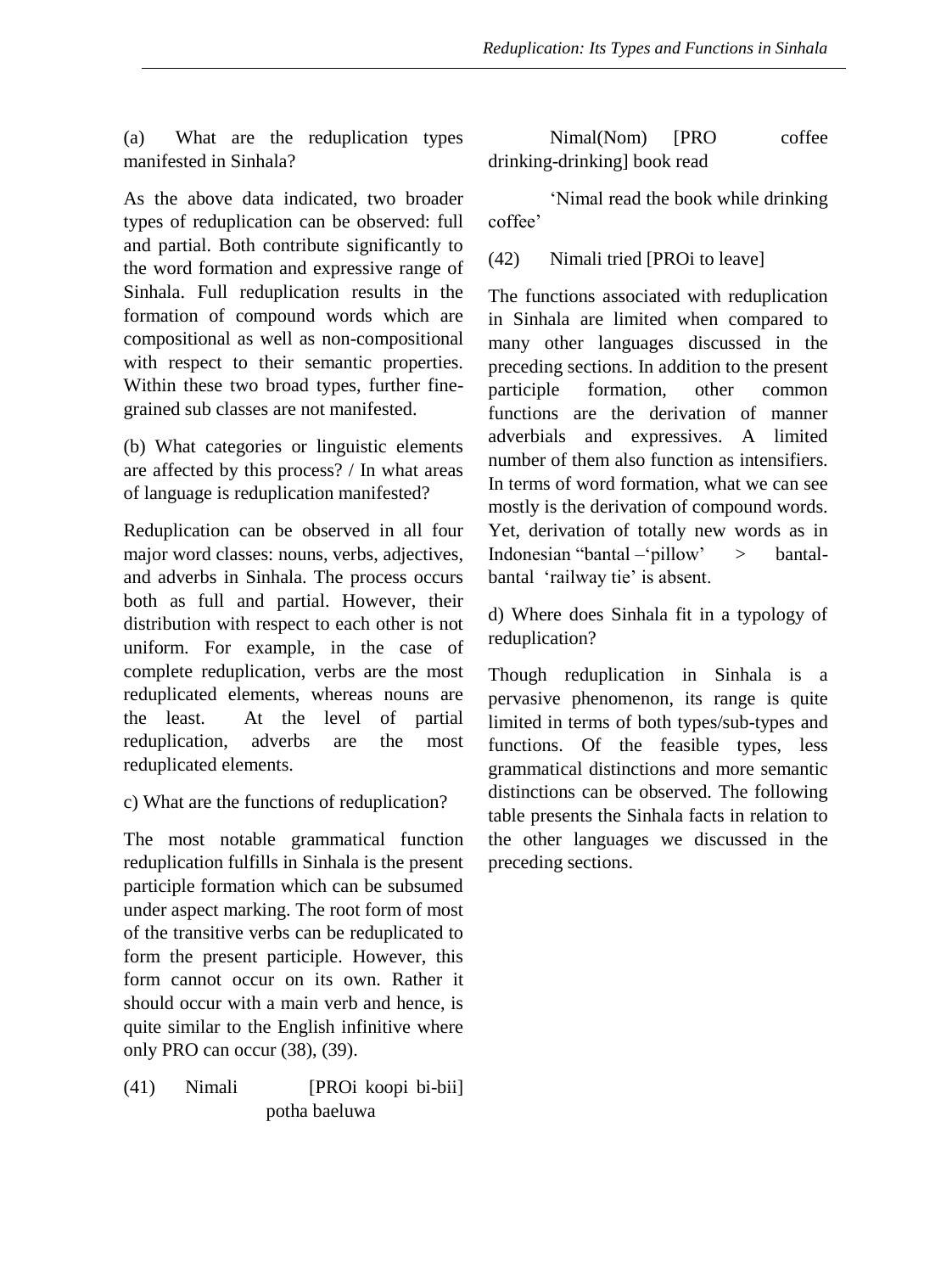(a) What are the reduplication types manifested in Sinhala?

As the above data indicated, two broader types of reduplication can be observed: full and partial. Both contribute significantly to the word formation and expressive range of Sinhala. Full reduplication results in the formation of compound words which are compositional as well as non-compositional with respect to their semantic properties. Within these two broad types, further finegrained sub classes are not manifested.

(b) What categories or linguistic elements are affected by this process? / In what areas of language is reduplication manifested?

Reduplication can be observed in all four major word classes: nouns, verbs, adjectives, and adverbs in Sinhala. The process occurs both as full and partial. However, their distribution with respect to each other is not uniform. For example, in the case of complete reduplication, verbs are the most reduplicated elements, whereas nouns are the least. At the level of partial reduplication, adverbs are the most reduplicated elements.

c) What are the functions of reduplication?

The most notable grammatical function reduplication fulfills in Sinhala is the present participle formation which can be subsumed under aspect marking. The root form of most of the transitive verbs can be reduplicated to form the present participle. However, this form cannot occur on its own. Rather it should occur with a main verb and hence, is quite similar to the English infinitive where only PRO can occur (38), (39).

(41) Nimali [PROi koopi bi-bii] potha baeluwa

Nimal(Nom) [PRO coffee drinking-drinking] book read

'Nimal read the book while drinking coffee'

(42) Nimali tried [PROi to leave]

The functions associated with reduplication in Sinhala are limited when compared to many other languages discussed in the preceding sections. In addition to the present participle formation, other common functions are the derivation of manner adverbials and expressives. A limited number of them also function as intensifiers. In terms of word formation, what we can see mostly is the derivation of compound words. Yet, derivation of totally new words as in Indonesian "bantal –'pillow' > bantalbantal 'railway tie' is absent.

d) Where does Sinhala fit in a typology of reduplication?

Though reduplication in Sinhala is a pervasive phenomenon, its range is quite limited in terms of both types/sub-types and functions. Of the feasible types, less grammatical distinctions and more semantic distinctions can be observed. The following table presents the Sinhala facts in relation to the other languages we discussed in the preceding sections.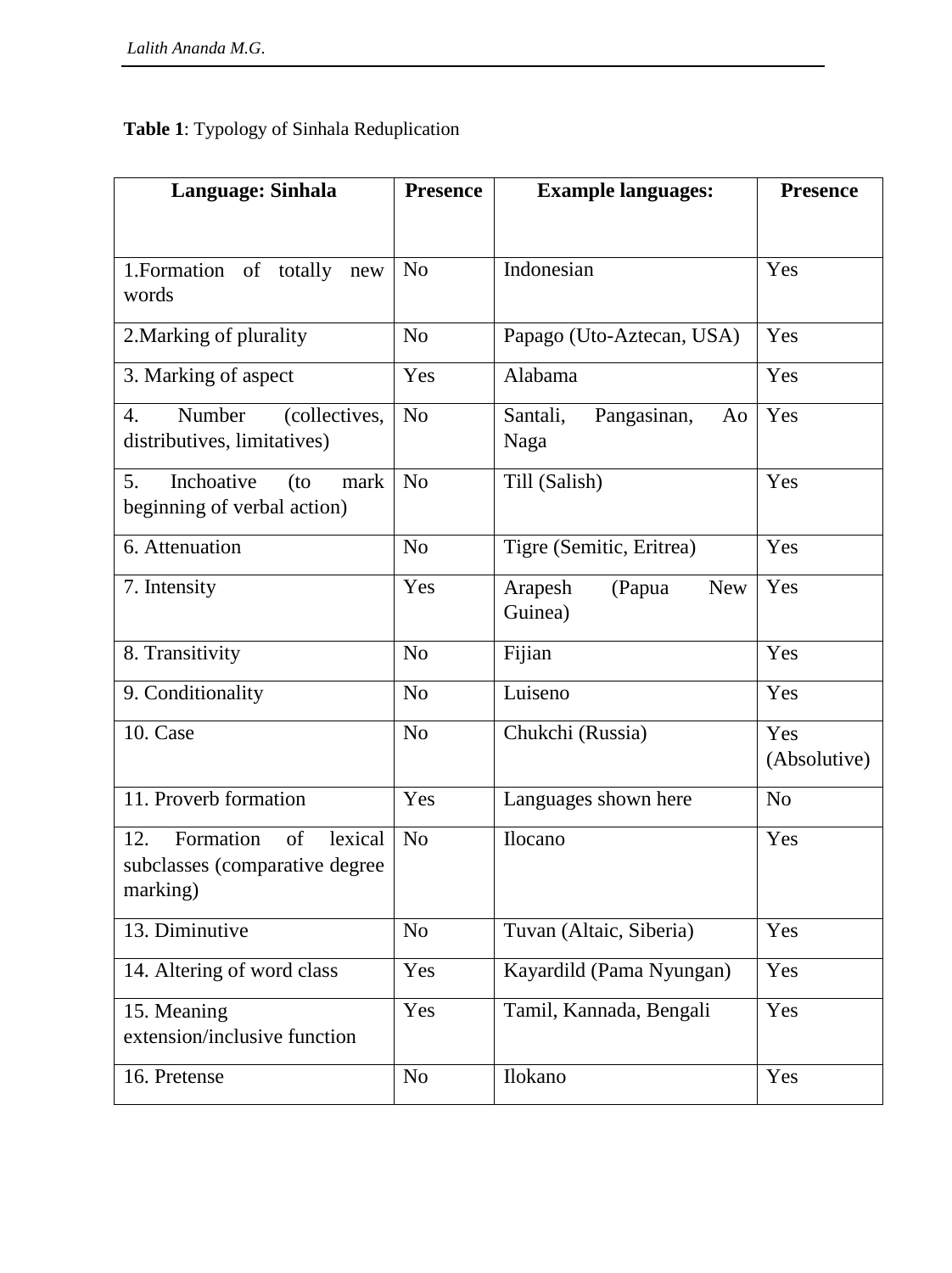# **Table 1**: Typology of Sinhala Reduplication

| Language: Sinhala                                                               | <b>Presence</b> | <b>Example languages:</b>                  | <b>Presence</b>     |
|---------------------------------------------------------------------------------|-----------------|--------------------------------------------|---------------------|
|                                                                                 |                 |                                            |                     |
| 1. Formation of totally new<br>words                                            | N <sub>o</sub>  | Indonesian                                 | Yes                 |
| 2. Marking of plurality                                                         | N <sub>o</sub>  | Papago (Uto-Aztecan, USA)                  | Yes                 |
| 3. Marking of aspect                                                            | Yes             | Alabama                                    | Yes                 |
| (collectives,<br>$\overline{4}$ .<br>Number<br>distributives, limitatives)      | N <sub>o</sub>  | Santali,<br>Pangasinan,<br>Ao<br>Naga      | Yes                 |
| Inchoative<br>5.<br>$($ to<br>mark<br>beginning of verbal action)               | N <sub>o</sub>  | Till (Salish)                              | Yes                 |
| 6. Attenuation                                                                  | N <sub>o</sub>  | Tigre (Semitic, Eritrea)                   | Yes                 |
| 7. Intensity                                                                    | Yes             | Arapesh<br>(Papua<br><b>New</b><br>Guinea) | Yes                 |
| 8. Transitivity                                                                 | N <sub>o</sub>  | Fijian                                     | Yes                 |
| 9. Conditionality                                                               | N <sub>o</sub>  | Luiseno                                    | Yes                 |
| 10. Case                                                                        | N <sub>o</sub>  | Chukchi (Russia)                           | Yes<br>(Absolutive) |
| 11. Proverb formation                                                           | Yes             | Languages shown here                       | N <sub>o</sub>      |
| Formation<br>of<br>lexical<br>12.<br>subclasses (comparative degree<br>marking) | N <sub>o</sub>  | Ilocano                                    | Yes                 |
| 13. Diminutive                                                                  | N <sub>o</sub>  | Tuvan (Altaic, Siberia)                    | Yes                 |
| 14. Altering of word class                                                      | Yes             | Kayardild (Pama Nyungan)                   | Yes                 |
| 15. Meaning<br>extension/inclusive function                                     | Yes             | Tamil, Kannada, Bengali                    | Yes                 |
| 16. Pretense                                                                    | No              | Ilokano                                    | Yes                 |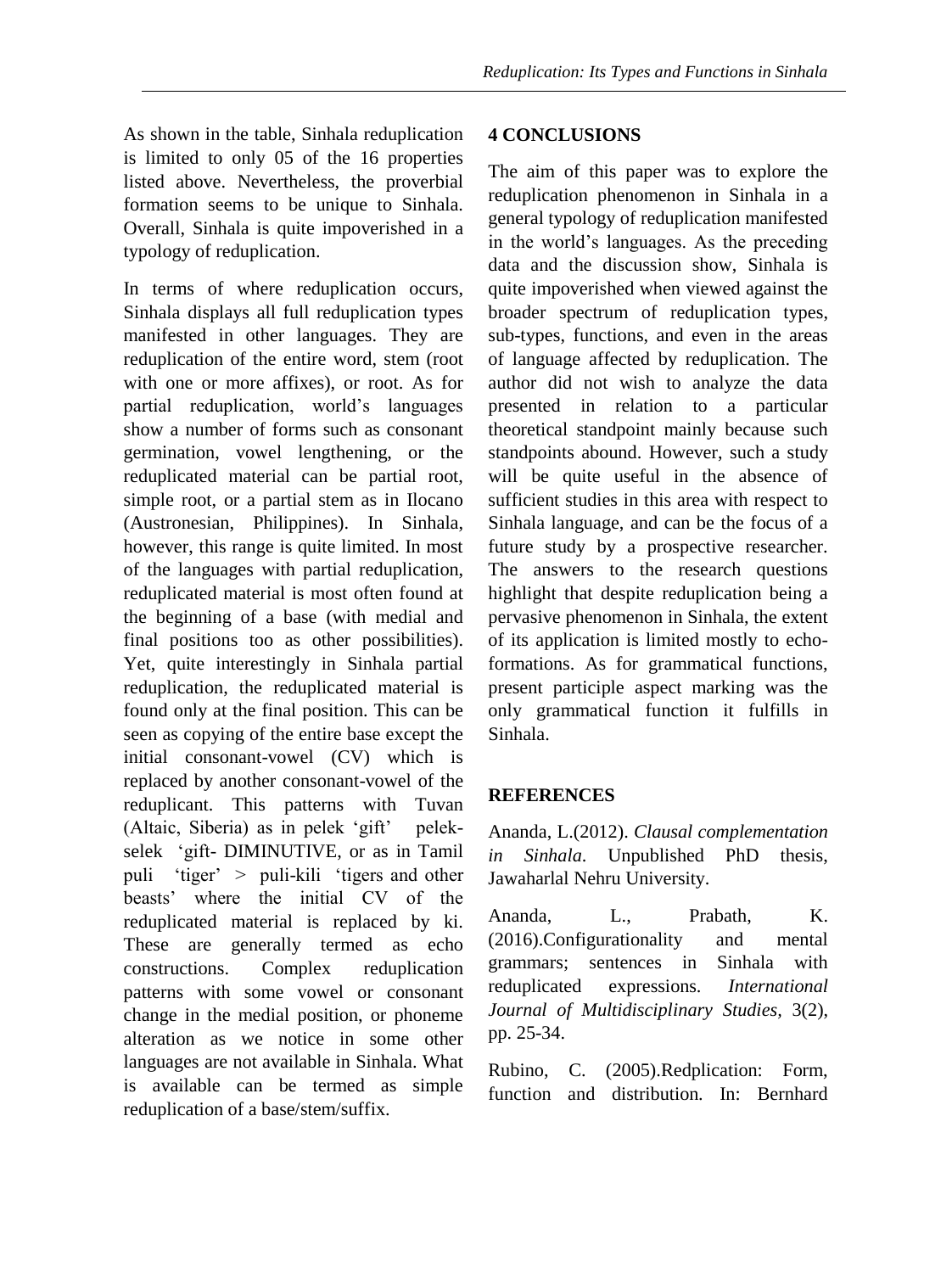As shown in the table, Sinhala reduplication is limited to only 05 of the 16 properties listed above. Nevertheless, the proverbial formation seems to be unique to Sinhala. Overall, Sinhala is quite impoverished in a typology of reduplication.

In terms of where reduplication occurs, Sinhala displays all full reduplication types manifested in other languages. They are reduplication of the entire word, stem (root with one or more affixes), or root. As for partial reduplication, world's languages show a number of forms such as consonant germination, vowel lengthening, or the reduplicated material can be partial root, simple root, or a partial stem as in Ilocano (Austronesian, Philippines). In Sinhala, however, this range is quite limited. In most of the languages with partial reduplication, reduplicated material is most often found at the beginning of a base (with medial and final positions too as other possibilities). Yet, quite interestingly in Sinhala partial reduplication, the reduplicated material is found only at the final position. This can be seen as copying of the entire base except the initial consonant-vowel (CV) which is replaced by another consonant-vowel of the reduplicant. This patterns with Tuvan (Altaic, Siberia) as in pelek 'gift' pelekselek 'gift- DIMINUTIVE, or as in Tamil puli 'tiger' > puli-kili 'tigers and other beasts' where the initial CV of the reduplicated material is replaced by ki. These are generally termed as echo constructions. Complex reduplication patterns with some vowel or consonant change in the medial position, or phoneme alteration as we notice in some other languages are not available in Sinhala. What is available can be termed as simple reduplication of a base/stem/suffix.

# **4 CONCLUSIONS**

The aim of this paper was to explore the reduplication phenomenon in Sinhala in a general typology of reduplication manifested in the world's languages. As the preceding data and the discussion show, Sinhala is quite impoverished when viewed against the broader spectrum of reduplication types, sub-types, functions, and even in the areas of language affected by reduplication. The author did not wish to analyze the data presented in relation to a particular theoretical standpoint mainly because such standpoints abound. However, such a study will be quite useful in the absence of sufficient studies in this area with respect to Sinhala language, and can be the focus of a future study by a prospective researcher. The answers to the research questions highlight that despite reduplication being a pervasive phenomenon in Sinhala, the extent of its application is limited mostly to echoformations. As for grammatical functions, present participle aspect marking was the only grammatical function it fulfills in Sinhala.

# **REFERENCES**

Ananda, L.(2012). *Clausal complementation in Sinhala*. Unpublished PhD thesis, Jawaharlal Nehru University.

Ananda, L., Prabath, K. (2016).Configurationality and mental grammars; sentences in Sinhala with reduplicated expressions. *International Journal of Multidisciplinary Studies,* 3(2), pp. 25-34.

Rubino, C. (2005).Redplication: Form, function and distribution. In: Bernhard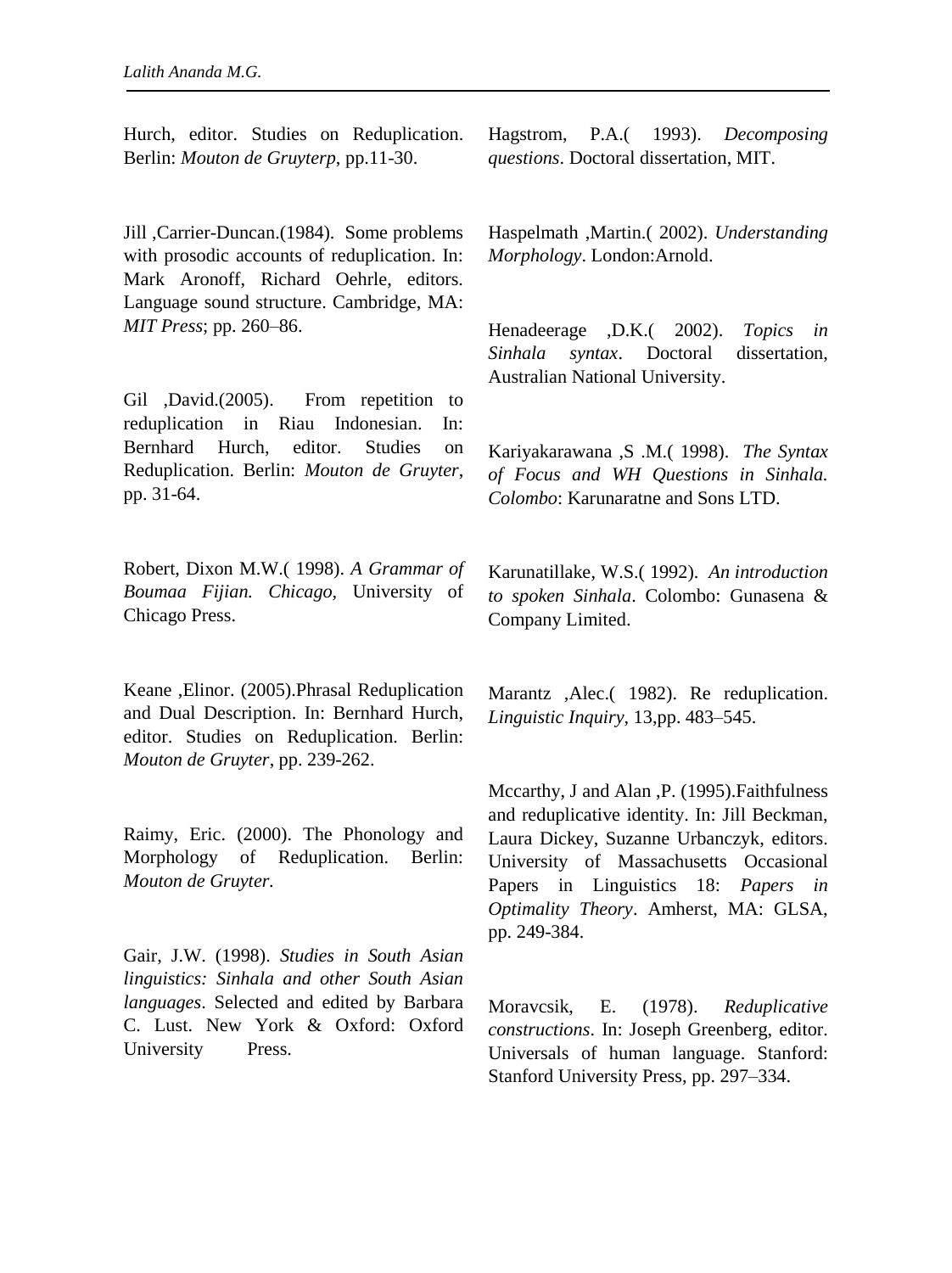Hurch, editor. Studies on Reduplication. Berlin: *Mouton de Gruyterp*, pp.11-30.

Jill ,Carrier-Duncan.(1984). Some problems with prosodic accounts of reduplication. In: Mark Aronoff, Richard Oehrle, editors. Language sound structure. Cambridge, MA: *MIT Press*; pp. 260–86.

Gil ,David.(2005). From repetition to reduplication in Riau Indonesian. In: Bernhard Hurch, editor. Studies on Reduplication. Berlin: *Mouton de Gruyter*, pp. 31-64.

Robert, Dixon M.W.( 1998). *A Grammar of Boumaa Fijian. Chicago,* University of Chicago Press.

Keane ,Elinor. (2005).Phrasal Reduplication and Dual Description. In: Bernhard Hurch, editor. Studies on Reduplication. Berlin: *Mouton de Gruyter*, pp. 239-262.

Raimy, Eric. (2000). The Phonology and Morphology of Reduplication. Berlin: *Mouton de Gruyter.*

Gair, J.W. (1998). *Studies in South Asian linguistics: Sinhala and other South Asian languages*. Selected and edited by Barbara C. Lust. New York & Oxford: Oxford University Press.

Hagstrom, P.A.( 1993). *Decomposing questions*. Doctoral dissertation, MIT.

Haspelmath ,Martin.( 2002). *Understanding Morphology*. London:Arnold.

Henadeerage ,D.K.( 2002). *Topics in Sinhala syntax*. Doctoral dissertation, Australian National University.

Kariyakarawana ,S .M.( 1998). *The Syntax of Focus and WH Questions in Sinhala. Colombo*: Karunaratne and Sons LTD.

Karunatillake, W.S.( 1992). *An introduction to spoken Sinhala*. Colombo: Gunasena & Company Limited.

Marantz ,Alec.( 1982). Re reduplication. *Linguistic Inquiry*, 13,pp. 483–545.

Mccarthy, J and Alan ,P. (1995).Faithfulness and reduplicative identity. In: Jill Beckman, Laura Dickey, Suzanne Urbanczyk, editors. University of Massachusetts Occasional Papers in Linguistics 18: *Papers in Optimality Theory*. Amherst, MA: GLSA, pp. 249-384.

Moravcsik, E. (1978). *Reduplicative constructions*. In: Joseph Greenberg, editor. Universals of human language. Stanford: Stanford University Press, pp. 297–334.